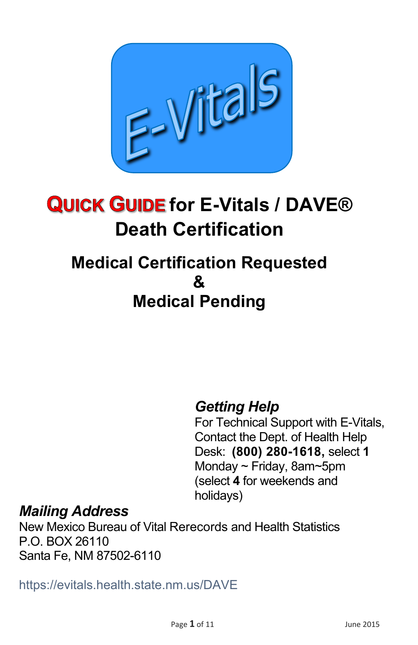

# **QUICK GUIDE for E-Vitals / DAVE® Death Certification**

# **Medical Certification Requested & Medical Pending**

# *Getting Help*

For Technical Support with E-Vitals, Contact the Dept. of Health Help Desk: **(800) 280-1618,** select **1**  Monday ~ Friday, 8am~5pm (select **4** for weekends and holidays)

#### *Mailing Address*

New Mexico Bureau of Vital Rerecords and Health Statistics P.O. BOX 26110 Santa Fe, NM 87502-6110

https://evitals.health.state.nm.us/DAVE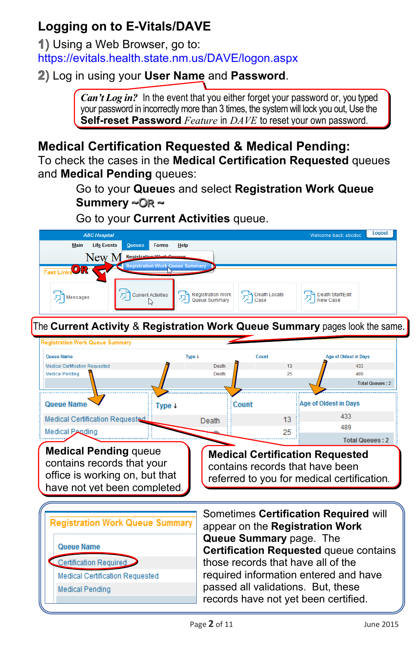### **Logging on to E-Vitals/DAVE**

Using a Web Browser, go to: <https://evitals.health.state.nm.us/DAVE/logon.aspx>

Log in using your **User Name** and **Password**.

*Can't Log in?* In the event that you either forget your password or, you typed your password in incorrectly more than 3 times, the system will lock you out, Use the **Self-reset Password** *Feature* in *DAVE* to reset your own password.

#### **Medical Certification Requested & Medical Pending:**

To check the cases in the **Medical Certification Requested** queues and **Medical Pending** queues:

> Go to your **Queue**s and select **Registration Work Queue Summery** ~©<sub>R</sub> ~

Go to your **Current Activities** queue.

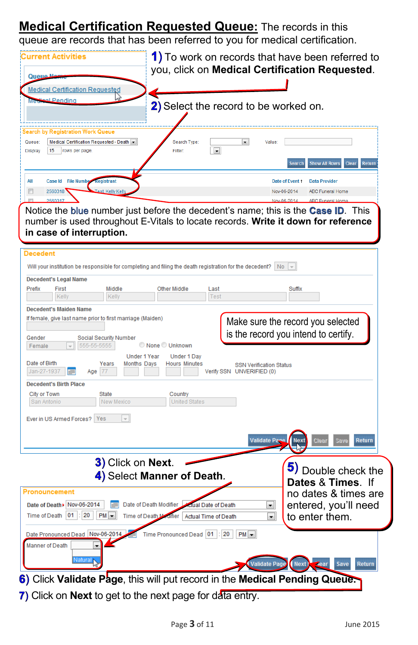# **Medical Certification Requested Queue:** The records in this

queue are records that has been referred to you for medical certification.

| Current Activities<br>Queue<br><b>Medical Certification Requested</b><br>al Pending                                                                            | 1) To work on records that have been referred to<br>you, click on Medical Certification Requested.<br>2) Select the record to be worked on.                                                                      |
|----------------------------------------------------------------------------------------------------------------------------------------------------------------|------------------------------------------------------------------------------------------------------------------------------------------------------------------------------------------------------------------|
| <b>Search by Registration Work Queue</b><br>Medical Certification Requested - Death v<br>Queue:<br><b>Display</b><br>15 rows per page.                         | Search Type<br>$\overline{\phantom{a}}$<br>Value:<br>$\overline{\phantom{a}}$<br>Filter:<br><b>Show All Rows</b><br>Return<br>Clear<br><b>Search</b>                                                             |
| All<br>Case Id File Number Registrant<br>$\Box$<br>2560318<br>Test, Kelly Kelly                                                                                | Date of Event 1<br><b>Data Provider</b><br>Nov-06-2014<br><b>ABC Funeral Home</b><br>Nov-06-2014<br><b>ABC Funeral Home</b><br>Notice the blue number just before the decedent's name; this is the Case ID. This |
| in case of interruption.<br>Decedent                                                                                                                           | number is used throughout E-Vitals to locate records. Write it down for reference<br>Will your institution be responsible for completing and filing the death registration for the decedent? $\ $ No $\ $ $\ $   |
| <b>Decedent's Legal Name</b><br>Prefix<br>First<br>Middle<br>Kelly<br>Kelly<br><b>Decedent's Maiden Name</b>                                                   | Other Middle<br>Last<br>Suffix<br>Test                                                                                                                                                                           |
| If female, give last name prior to first marriage (Maiden)<br>Gender<br>Social Security Number<br>555-55-5555<br>Female<br>Under 1 Year                        | Make sure the record you selected<br>is the record you intend to certify.<br>None Unknown<br>Under 1 Day                                                                                                         |
| Date of Birth<br>Years<br><b>Months Days</b><br>Jan-27-1937<br>Age   77<br><b>Decedent's Birth Place</b><br>City or Town<br>State<br>San Antonio<br>New Mexico | <b>Hours Minutes</b><br><b>SSN Verification Status</b><br>Verify SSN UNVERIFIED (0)<br>Country<br><b>United States</b>                                                                                           |
| $\overline{\phantom{a}}$<br>Ever in US Armed Forces?   Yes                                                                                                     | <b>Validate Page</b><br>Cle<br>Return<br><b>Next</b>                                                                                                                                                             |
| 3) Click on Next.<br><b>Pronouncement</b>                                                                                                                      | 5) Double check the<br>4) Select Manner of Death.<br>Dates & Times. If<br>no dates & times are                                                                                                                   |
| Date of Death > Nov-06-2014<br>20<br>$PM -$<br>Time of Death   01<br>Time of Death M<br>Date Pronounced Dead Nov-06-2014                                       | Date of Death Modifier<br>entered, you'll need<br>ctual Date of Death<br>$\blacksquare$<br>to enter them.<br>difier<br>$\blacktriangledown$<br>Actual Time of Death<br>Time Pronounced Dead 01<br>20<br>$PM -$   |
| <b>Manner of Death</b><br>Natural                                                                                                                              | Next)<br><b>Validate Page</b><br>Save<br>Return<br>6) Click Validate Page, this will put record in the Medical Pending Queue.                                                                                    |

**7)** Click on **Next** to get to the next page for data entry.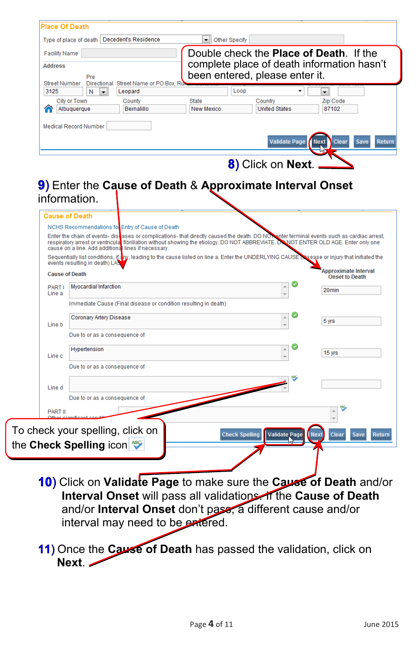|                        | Type of place of death   Decedent's Residence |                                                                 | Other Specify<br>▾∥                                                                                                                         |                                 |                                                            |
|------------------------|-----------------------------------------------|-----------------------------------------------------------------|---------------------------------------------------------------------------------------------------------------------------------------------|---------------------------------|------------------------------------------------------------|
| <b>Facility Name</b>   |                                               |                                                                 | Double check the <b>Place of Death</b> . If the                                                                                             |                                 |                                                            |
| <b>Address</b>         |                                               |                                                                 | complete place of death information hasn't                                                                                                  |                                 |                                                            |
| <b>Street Number</b>   | Pre                                           | Directional Street Name or PO Box, Ru                           | been entered, please enter it.                                                                                                              |                                 |                                                            |
| 3125                   | N<br>$\overline{\phantom{a}}$                 | Leopard                                                         | Loop                                                                                                                                        |                                 | $\left. \right. \cdot \right.$                             |
|                        | City or Town<br>Albuquerque                   | County<br>Bernalillo                                            | <b>State</b><br><b>New Mexico</b>                                                                                                           | Country<br><b>United States</b> | Zip Code<br>87102                                          |
|                        |                                               |                                                                 |                                                                                                                                             |                                 |                                                            |
|                        | <b>Medical Record Number</b>                  |                                                                 |                                                                                                                                             |                                 |                                                            |
|                        |                                               |                                                                 |                                                                                                                                             | <b>Validate Page</b>            | <b>Next</b><br>Clear<br>Save                               |
|                        |                                               |                                                                 |                                                                                                                                             |                                 |                                                            |
|                        |                                               |                                                                 |                                                                                                                                             | 8) Click on Next.               |                                                            |
|                        |                                               |                                                                 |                                                                                                                                             |                                 |                                                            |
|                        |                                               |                                                                 | 9) Enter the Cause of Death & Approximate Interval Onset                                                                                    |                                 |                                                            |
|                        | information.                                  |                                                                 |                                                                                                                                             |                                 |                                                            |
|                        |                                               |                                                                 |                                                                                                                                             |                                 |                                                            |
|                        | <b>Cause of Death</b>                         |                                                                 |                                                                                                                                             |                                 |                                                            |
|                        |                                               | NCHS Recommendations for Entry of Cause of Death                |                                                                                                                                             |                                 |                                                            |
|                        |                                               |                                                                 |                                                                                                                                             |                                 |                                                            |
|                        |                                               |                                                                 | Enter the chain of events- discusses or complications- that directly caused the death. DO NON enter terminal events such as cardiac arrest, |                                 |                                                            |
|                        |                                               | cause on a line. Add additional lines if necessary.             | respiratory arrest or ventricular fibrillation without showing the etiology. DO NOT ABBREVIATE. DO NOT ENTER OLD AGE. Enter only one        |                                 |                                                            |
|                        |                                               |                                                                 | Sequentially list conditions, if any, leading to the cause listed on line a. Enter the UNDERLYING CAUSE                                     |                                 |                                                            |
|                        | events resulting in death) LA                 |                                                                 |                                                                                                                                             |                                 |                                                            |
|                        | <b>Cause of Death</b>                         |                                                                 |                                                                                                                                             |                                 | <b>Onset to Death</b>                                      |
| <b>PARTI</b><br>Line a | <b>Myocardial Infarction</b>                  |                                                                 |                                                                                                                                             | Á                               | 20 <sub>min</sub>                                          |
|                        |                                               | Immediate Cause (Final disease or condition resulting in death) |                                                                                                                                             |                                 |                                                            |
|                        |                                               |                                                                 |                                                                                                                                             | ۸                               |                                                            |
| Line b                 | Coronary Artery Disease                       |                                                                 |                                                                                                                                             |                                 | 5 yrs                                                      |
|                        | Due to or as a consequence of                 |                                                                 |                                                                                                                                             |                                 |                                                            |
|                        | Hypertension                                  |                                                                 |                                                                                                                                             | A                               |                                                            |
| Line c                 |                                               |                                                                 |                                                                                                                                             |                                 | $15$ yrs                                                   |
|                        | Due to or as a consequence of                 |                                                                 |                                                                                                                                             |                                 |                                                            |
|                        |                                               |                                                                 |                                                                                                                                             |                                 |                                                            |
| Line d                 |                                               |                                                                 |                                                                                                                                             |                                 |                                                            |
|                        | Due to or as a consequence of                 |                                                                 |                                                                                                                                             |                                 |                                                            |
| <b>PART II</b>         |                                               |                                                                 |                                                                                                                                             |                                 |                                                            |
|                        |                                               |                                                                 |                                                                                                                                             |                                 | sease or injury that initiated the<br>Approximate Interval |
|                        | To check your spelling, click on              |                                                                 | <b>Check Spelling</b>                                                                                                                       | <b>Validate Page</b>            | <b>Next</b><br>Clear<br><b>Save</b>                        |

Click on **Validate Page** to make sure the **Cause of Death** and/or **Interval Onset** will pass all validations. If the **Cause of Death** and/or **Interval Onset** don't pass, a different cause and/or interval may need to be entered.

11) Once the **Cause of Death** has passed the validation, click on **Next**.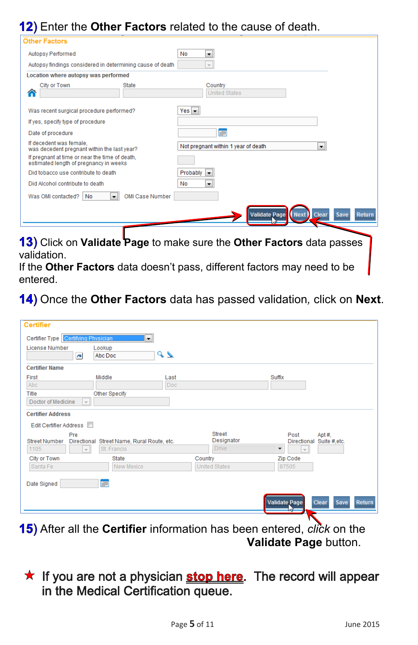#### 12) Enter the Other Factors related to the cause of death.

| <b>Other Factors</b>                                                                     |                                                                       |
|------------------------------------------------------------------------------------------|-----------------------------------------------------------------------|
| Autopsy Performed                                                                        | <b>No</b><br>$\overline{\phantom{a}}$                                 |
| Autopsy findings considered in determining cause of death                                | $\overline{\psi}$                                                     |
| Location where autopsy was performed                                                     |                                                                       |
| City or Town<br><b>State</b><br>⋒                                                        | Country<br><b>United States</b>                                       |
| Was recent surgical procedure performed?                                                 | $Yes \rightarrow$                                                     |
| If yes, specify type of procedure                                                        |                                                                       |
| Date of procedure                                                                        | 面画                                                                    |
| If decedent was female.<br>was decedent pregnant within the last year?                   | Not pregnant within 1 year of death<br>$\blacksquare$                 |
| If pregnant at time or near the time of death.<br>estimated length of pregnancy in weeks |                                                                       |
| Did tobacco use contribute to death                                                      | Probably<br>$\overline{\phantom{a}}$                                  |
| Did Alcohol contribute to death                                                          | <b>No</b><br>۰                                                        |
| OMI Case Number<br>Was OMI contacted?<br><b>No</b><br>$\overline{\phantom{a}}$           |                                                                       |
|                                                                                          | <b>Validate Page Next Clear</b><br>Save<br><b>Return</b>              |
| validation.                                                                              | 13) Click on Validate Page to make sure the Other Factors data passes |

If the **Other Factors** data doesn't pass, different factors may need to be  $\mathbf{I}$ entered.

#### Once the **Other Factors** data has passed validation*,* click on **Next**.

| <b>Certifier</b><br><b>License Number</b>                                          | Certifier Type Certifying Physician<br>Lookup<br>Abc Doc<br>$\blacksquare$                   | $\left  \cdot \right $<br>$\sim$ |                                             |                                                                                                    |
|------------------------------------------------------------------------------------|----------------------------------------------------------------------------------------------|----------------------------------|---------------------------------------------|----------------------------------------------------------------------------------------------------|
| <b>Certifier Name</b><br>First<br>Abc<br>Title<br>Doctor of Medicine               | Middle<br><b>Other Specify</b><br>$\vert \vert$                                              | Last<br>Doc                      |                                             | Suffix                                                                                             |
| <b>Certifier Address</b><br>Edit Certifier Address<br><b>Street Number</b><br>1105 | Pre<br>Directional Street Name, Rural Route, etc.<br>St. Francis<br>$\overline{\phantom{a}}$ |                                  | <b>Street</b><br>Designator<br><b>Drive</b> | Post<br>Apt#,<br>Directional Suite #, etc.<br>$\overline{\phantom{a}}$<br>$\overline{\phantom{a}}$ |
| City or Town<br>Santa Fe<br>Date Signed                                            | <b>State</b><br>New Mexico<br><b>TITTE</b>                                                   |                                  | Country<br><b>United States</b>             | Zip Code<br>87505                                                                                  |
|                                                                                    |                                                                                              |                                  |                                             | Validate Page<br><b>Clear</b><br>Save<br>Return                                                    |

**15)** After all the **Certifier** information has been entered, *click* on the **Validate Page** button.

#### ★ If you are not a physician stop here. The record will appear in the Medical Certification queue.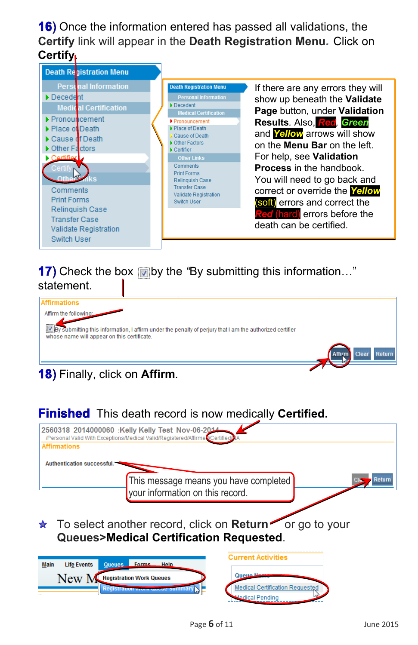**16)** Once the information entered has passed all validations, the **Certify** link will appear in the **Death Registration Menu***.* Click on **Certify**.



#### **17)** Check the box **by** the "By submitting this information..." statement.



#### **18)** Finally, click on **Affirm**.

#### **Finished** This death record is now medically **Certified.**

| 2560318 2014000060 :Kelly Kelly Test Nov-06-2014<br>/Personal Valid With Exceptions/Medical Valid/Registered/Affirmet/Certified/ |                                        |
|----------------------------------------------------------------------------------------------------------------------------------|----------------------------------------|
| <b>Affirmations</b>                                                                                                              |                                        |
|                                                                                                                                  |                                        |
| <b>Authentication successful.</b>                                                                                                |                                        |
|                                                                                                                                  |                                        |
| This message means you have completed                                                                                            | Return                                 |
| your information on this record.                                                                                                 |                                        |
|                                                                                                                                  |                                        |
|                                                                                                                                  |                                        |
|                                                                                                                                  |                                        |
| To select another record, click on Return or go to your<br>$\star$                                                               |                                        |
| <b>Queues&gt;Medical Certification Requested.</b>                                                                                |                                        |
|                                                                                                                                  |                                        |
|                                                                                                                                  |                                        |
| <b>Forms</b><br><b>Life Events</b><br>Help<br><b>Main</b><br>Queues                                                              | <b>Current Activities</b>              |
|                                                                                                                                  |                                        |
| New N<br><b>Registration Work Queues</b>                                                                                         | Queue Ne                               |
| Registration work woode builling!                                                                                                | <b>Medical Certification Requested</b> |
|                                                                                                                                  | <b>Medical Pending</b>                 |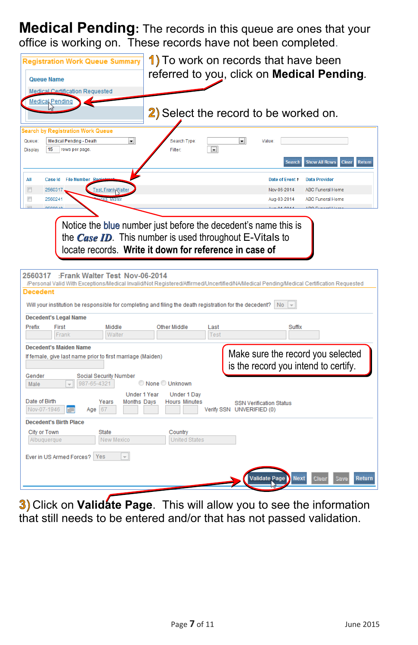**Medical Pending:** The records in this queue are ones that your office is working on. These records have not been completed.

| <b>Queue Name</b>                                                             | <b>Registration Work Queue Summary</b><br>Medical Certification Requested<br>Medical Pending                                                                |                                                                                                                            | 1) To work on records that have been<br>2) Select the record to be worked on.                           |                                       |                                | referred to you, click on <b>Medical Pending</b> .                                                                                     |
|-------------------------------------------------------------------------------|-------------------------------------------------------------------------------------------------------------------------------------------------------------|----------------------------------------------------------------------------------------------------------------------------|---------------------------------------------------------------------------------------------------------|---------------------------------------|--------------------------------|----------------------------------------------------------------------------------------------------------------------------------------|
| Queue:<br><b>Display</b>                                                      | Search by Registration Work Queue<br>Medical Pending - Death<br>rows per page<br>15                                                                         | $\bullet$                                                                                                                  | Search Type:<br>Filter:                                                                                 | $\bullet$<br>$\overline{\phantom{0}}$ | <b>Value</b><br><b>Search</b>  | <b>Show All Rows</b><br>Clear<br>Return                                                                                                |
| All                                                                           | <b>Case Id</b><br><b>File Number Rg</b>                                                                                                                     |                                                                                                                            |                                                                                                         |                                       | Date of Event +                | <b>Data Provider</b>                                                                                                                   |
| $\boxed{\square}$                                                             | 2560317                                                                                                                                                     | <b>Test, Frank Walte</b>                                                                                                   |                                                                                                         |                                       | Nov-06-2014                    | <b>ABC Funeral Home</b>                                                                                                                |
| a                                                                             | 2560241                                                                                                                                                     |                                                                                                                            |                                                                                                         |                                       | Aug-03-2014                    | <b>ABC Funeral Home</b>                                                                                                                |
|                                                                               |                                                                                                                                                             |                                                                                                                            |                                                                                                         |                                       | $A \cup B$ 04.2014             | <b>ADO Euneral Hemi</b>                                                                                                                |
|                                                                               |                                                                                                                                                             |                                                                                                                            |                                                                                                         |                                       |                                |                                                                                                                                        |
| 2560317<br>Decedent                                                           | <b>Decedent's Legal Name</b>                                                                                                                                | :Frank Walter Test Nov-06-2014                                                                                             | Will your institution be responsible for completing and filing the death registration for the decedent? |                                       | <b>No</b><br>$ + $             | /Personal Valid With Exceptions/Medical Invalid/Not Registered/Affirmed/Uncertified/NA/Medical Pending/Medical Certification Requested |
| Prefix                                                                        | First                                                                                                                                                       | Middle                                                                                                                     | <b>Other Middle</b>                                                                                     | Last                                  | Suffix                         |                                                                                                                                        |
| Gender<br>Male<br>Date of Birth<br>Nov-07-1946<br>City or Town<br>Albuquerque | Frank<br><b>Decedent's Maiden Name</b><br>If female, give last name prior to first marriage (Maiden)<br>987-65-4321<br>Aae<br><b>Decedent's Birth Place</b> | Walter<br><b>Social Security Number</b><br><b>Under 1 Year</b><br><b>Months Days</b><br>Years<br>67<br>State<br>New Mexico | None Unknown<br>Under 1 Day<br><b>Hours Minutes</b><br>Country<br><b>United States</b>                  | Test<br>Verify SSN UNVERIFIED (0)     | <b>SSN Verification Status</b> | Make sure the record you selected<br>is the record you intend to certify.                                                              |

Click on **Validate Page**. This will allow you to see the information that still needs to be entered and/or that has not passed validation.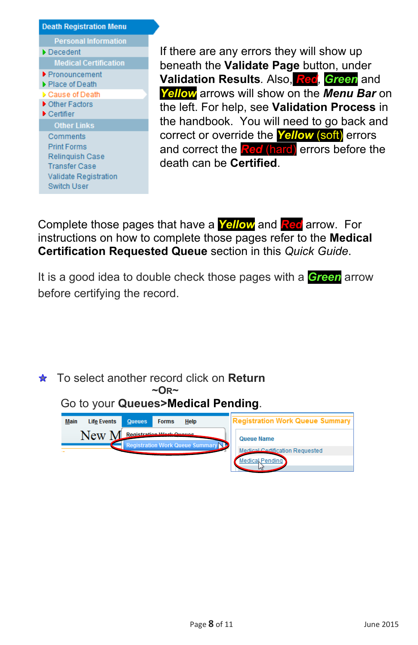| <b>Death Registration Menu</b>       |
|--------------------------------------|
| <b>Personal Information</b>          |
| Decedent                             |
| <b>Medical Certification</b>         |
| ▶ Pronouncement                      |
| $\blacktriangleright$ Place of Death |
| Cause of Death                       |
| ▶ Other Factors                      |
| $\blacktriangleright$ Certifier      |
| <b>Other Links</b>                   |
| Comments                             |
| <b>Print Forms</b>                   |
| Relinquish Case                      |
| <b>Transfer Case</b>                 |
| Validate Registration                |
| <b>Switch User</b>                   |

If there are any errors they will show up beneath the **Validate Page** button, under **Validation Results***.* Also, *Red, Green* and *Yellow* arrows will show on the *Menu Bar* on the left. For help, see **Validation Process** in the handbook. You will need to go back and correct or override the *Yellow* (soft) errors and correct the *Red* (hard) errors before the death can be **Certified**.

Complete those pages that have a *Yellow* and *Red* arrow. For instructions on how to complete those pages refer to the **Medical Certification Requested Queue** section in this *Quick Guide*.

It is a good idea to double check those pages with a *Green* arrow before certifying the record.

To select another record click on **Return ~OR~**

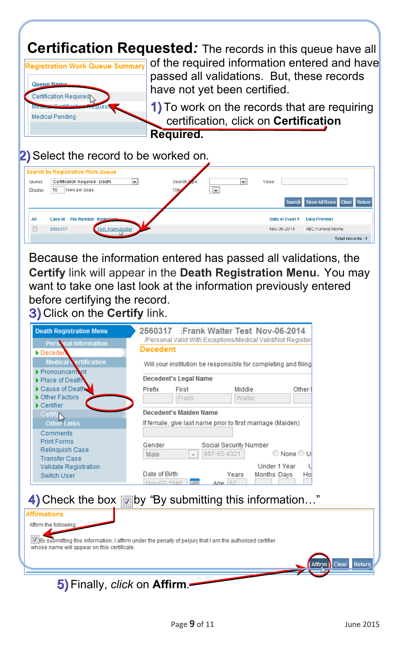**Certification Requested**: The records in this queue have all



 $\ell$ 

of the required information entered and have passed all validations. But, these records have not yet been certified.

1) To work on the records that are requiring certification*,* click on **Certification Required.**

#### Select the record to be worked on*.*

|                | <b>Search by Registration Work Queue</b>                   |                                |              |                 |                               |
|----------------|------------------------------------------------------------|--------------------------------|--------------|-----------------|-------------------------------|
| Queue:         | Certification Required - Death<br>$\overline{\phantom{a}}$ | Search <b>X</b><br><b>The:</b> | ۰            | Value:          |                               |
| <b>Display</b> | 15<br>rows per page.                                       | Filter                         | $\mathbf{r}$ |                 |                               |
|                |                                                            |                                |              | <b>Search</b>   | Show All Rows Clear<br>Return |
| All            | <b>File Number Registrant</b><br><b>Case Id</b>            |                                |              | Date of Event + | <b>Data Provider</b>          |
| $\Box$         | <b>Test, Frank, Walter</b><br>2560317                      |                                |              | Nov-06-2014     | <b>ABC Funeral Home</b>       |
|                |                                                            |                                |              |                 | <b>Total records: 1</b>       |

Because the information entered has passed all validations, the **Certify** link will appear in the **Death Registration Menu***.* You may want to take one last look at the information previously entered before certifying the record. Click on the **Certify** link.

| <b>Death Registration Menu</b>                                                   | :Frank Walter Test Nov-06-2014<br>2560317                                                                |
|----------------------------------------------------------------------------------|----------------------------------------------------------------------------------------------------------|
| Persinal Information<br>Deceden                                                  | /Personal Valid With Exceptions/Medical Valid/Not Register<br><b>Decedent</b>                            |
| <b>Medical Vertification</b><br><b>Pronouncemant</b>                             | Will your institution be responsible for completing and filing<br><b>Decedent's Legal Name</b>           |
| Place of Death<br>Cause of Death<br>Other Factors                                | Prefix<br>First<br>Middle<br>Other<br>Frank<br>Walter                                                    |
| Certifier<br>Certify<br>Other Links                                              | Decedent's Maiden Name<br>If female, give last name prior to first marriage (Maiden)                     |
| Comments<br><b>Print Forms</b><br><b>Relinquish Case</b><br><b>Transfer Case</b> | Gender<br>Social Security Number<br>None O U<br>987-65-4321<br>Male                                      |
| Validate Registration<br>Switch User                                             | <b>Under 1 Year</b><br>Date of Birth<br>Months Davs<br>Years<br>Hol<br>Nov-07-1946<br>Απρ                |
|                                                                                  | 4) Check the box in by "By submitting this information"                                                  |
| <b>Affirmations</b>                                                              |                                                                                                          |
| Affirm the following:                                                            |                                                                                                          |
| whose name will appear on this certificate.                                      | By submitting this information, I affirm under the penalty of perjury that I am the authorized certifier |
|                                                                                  | Return<br><b>Clear</b><br>Affirm                                                                         |
| 5) Finally, <i>click</i> on <b>Affirm</b> .                                      |                                                                                                          |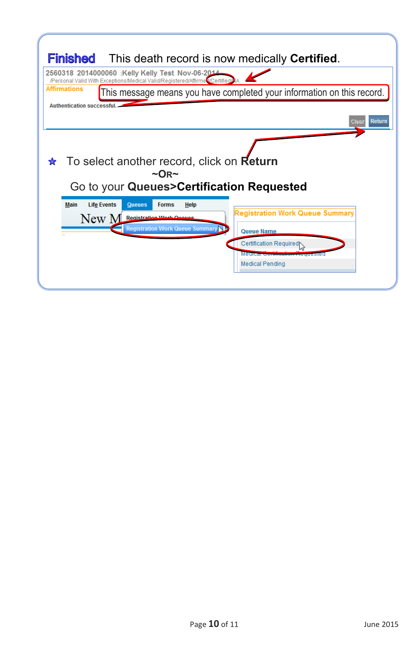| <b>Finished</b> This death record is now medically Certified.                                                                                                           |                                                                                                                                                                        |
|-------------------------------------------------------------------------------------------------------------------------------------------------------------------------|------------------------------------------------------------------------------------------------------------------------------------------------------------------------|
| 2560318 2014000060 :Kelly Kelly Test Nov-06-2014<br>/Personal Valid With Exceptions/Medical Valid/Registered/Affirme<br><b>Affirmations</b>                             | This message means you have completed your information on this record.                                                                                                 |
| <b>Authentication successful.</b>                                                                                                                                       | Return<br>Clear                                                                                                                                                        |
| To select another record, click on Return<br>$\sim$ OR $\sim$<br>Go to your Queues>Certification Requested                                                              |                                                                                                                                                                        |
| <b>Main</b><br><b>Life Events</b><br><b>Forms</b><br><b>Queues</b><br><b>Help</b><br><b>Registration Work Quouse</b><br>New N<br><b>Registration Work Queue Summary</b> | <b>Registration Work Queue Summary</b><br><b>Queue Name</b><br>Certification Required<br>Medical <del>Corunce</del><br><del>.cyue</del> sted<br><b>Medical Pending</b> |